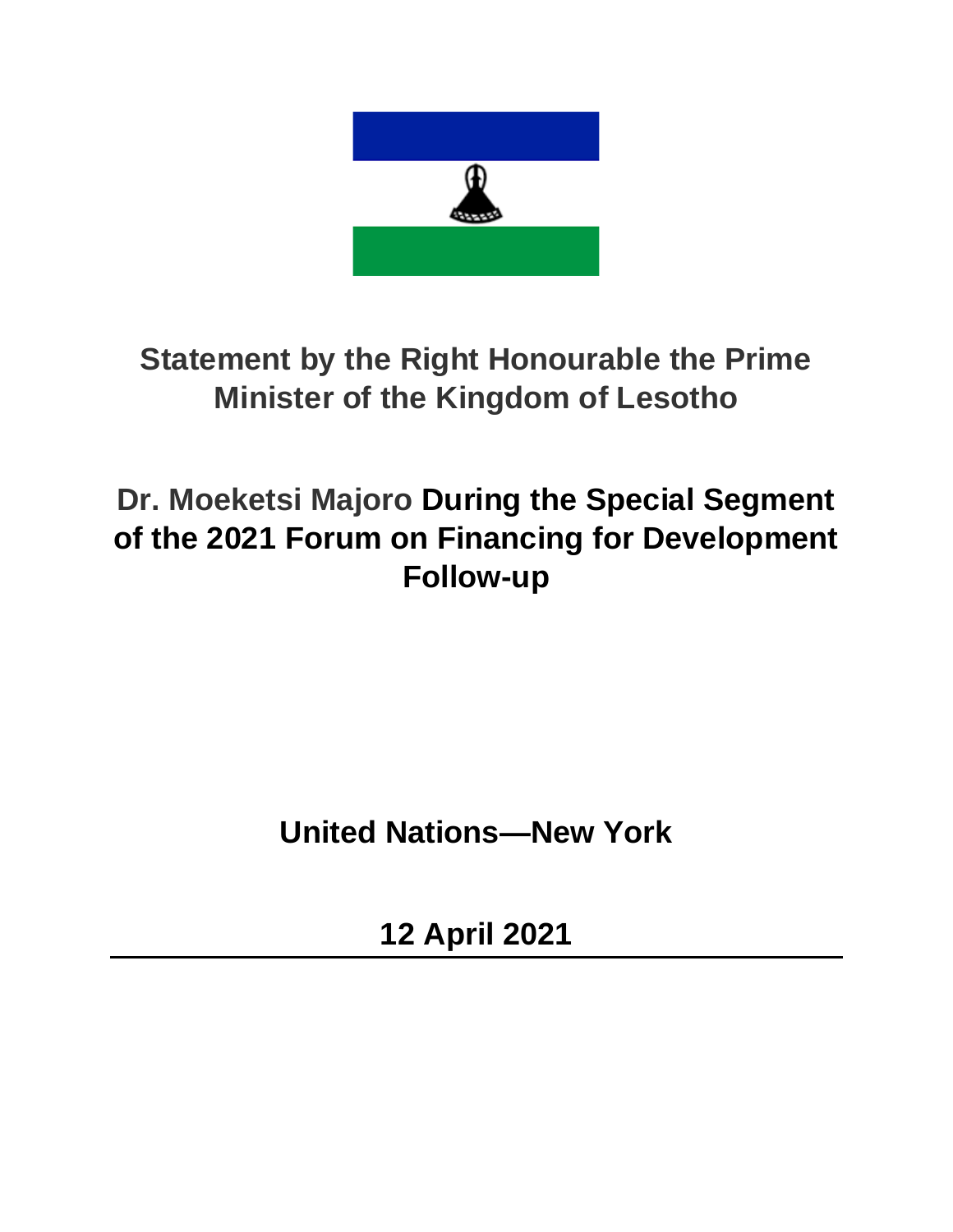

## **Statement by the Right Honourable the Prime Minister of the Kingdom of Lesotho**

## **Dr. Moeketsi Majoro During the Special Segment of the 2021 Forum on Financing for Development Follow-up**

**United Nations—New York**

**12 April 2021**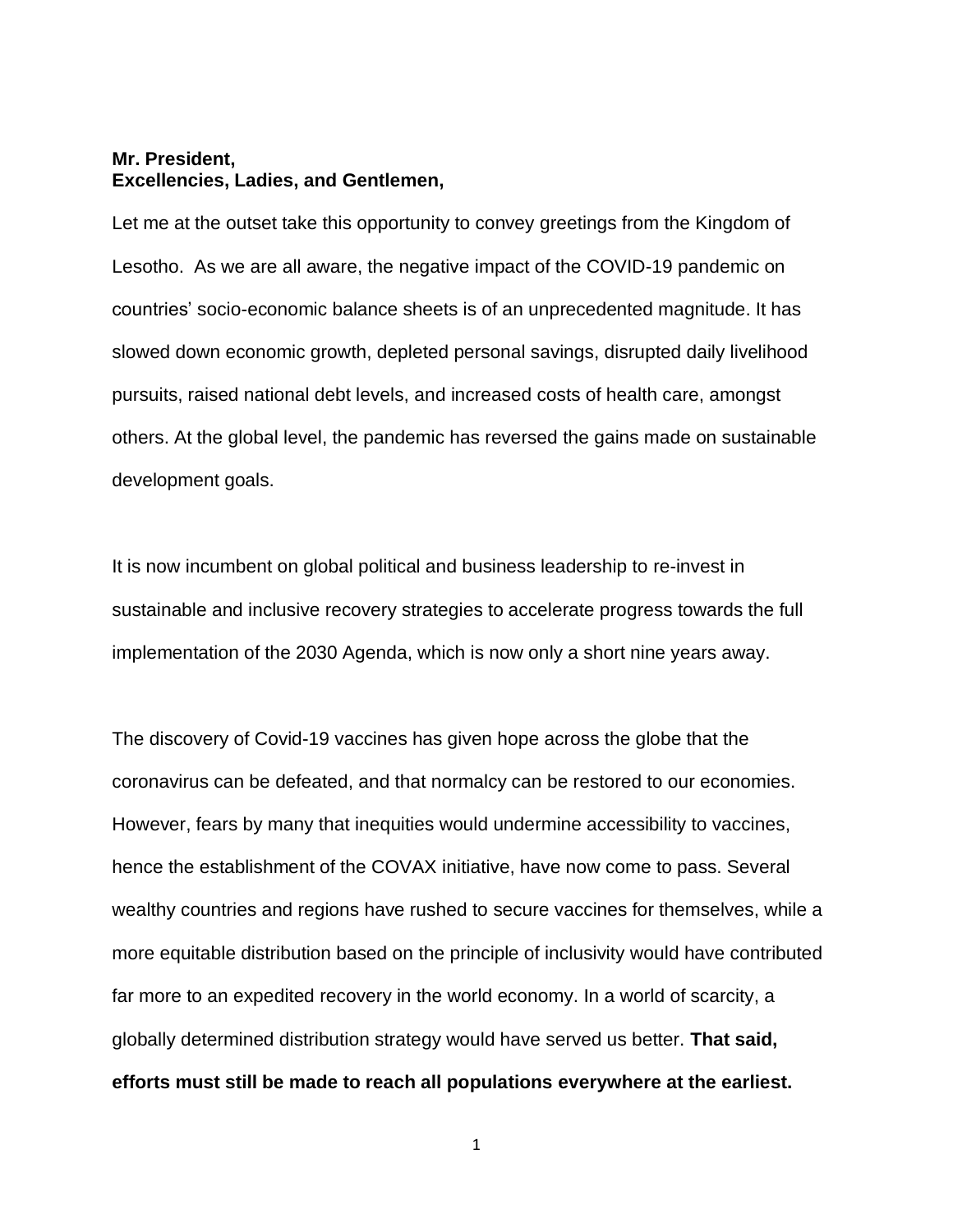## **Mr. President, Excellencies, Ladies, and Gentlemen,**

Let me at the outset take this opportunity to convey greetings from the Kingdom of Lesotho. As we are all aware, the negative impact of the COVID-19 pandemic on countries' socio-economic balance sheets is of an unprecedented magnitude. It has slowed down economic growth, depleted personal savings, disrupted daily livelihood pursuits, raised national debt levels, and increased costs of health care, amongst others. At the global level, the pandemic has reversed the gains made on sustainable development goals.

It is now incumbent on global political and business leadership to re-invest in sustainable and inclusive recovery strategies to accelerate progress towards the full implementation of the 2030 Agenda, which is now only a short nine years away.

The discovery of Covid-19 vaccines has given hope across the globe that the coronavirus can be defeated, and that normalcy can be restored to our economies. However, fears by many that inequities would undermine accessibility to vaccines, hence the establishment of the COVAX initiative, have now come to pass. Several wealthy countries and regions have rushed to secure vaccines for themselves, while a more equitable distribution based on the principle of inclusivity would have contributed far more to an expedited recovery in the world economy. In a world of scarcity, a globally determined distribution strategy would have served us better. **That said, efforts must still be made to reach all populations everywhere at the earliest.**

1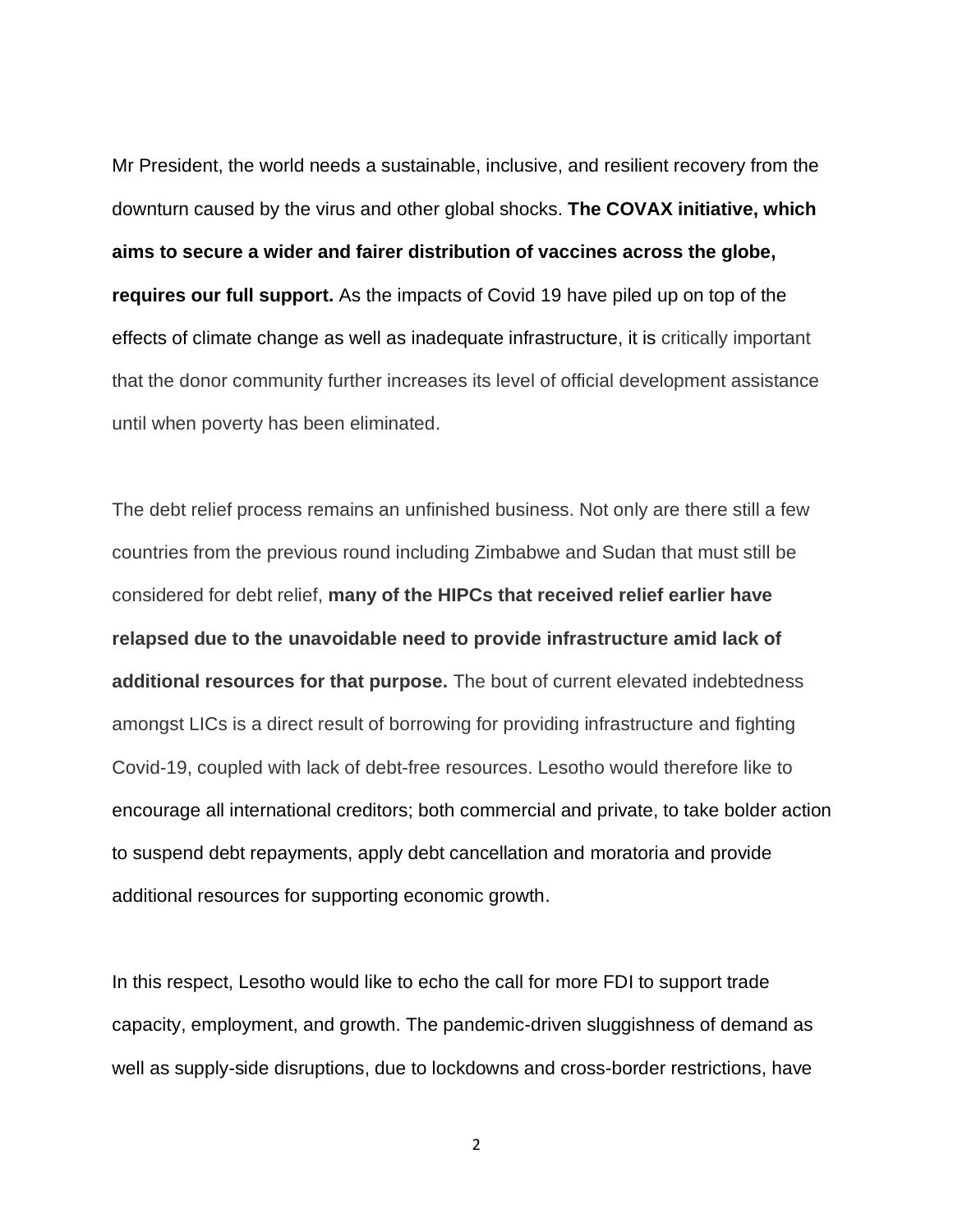Mr President, the world needs a sustainable, inclusive, and resilient recovery from the downturn caused by the virus and other global shocks. **The COVAX initiative, which aims to secure a wider and fairer distribution of vaccines across the globe, requires our full support.** As the impacts of Covid 19 have piled up on top of the effects of climate change as well as inadequate infrastructure, it is critically important that the donor community further increases its level of official development assistance until when poverty has been eliminated.

The debt relief process remains an unfinished business. Not only are there still a few countries from the previous round including Zimbabwe and Sudan that must still be considered for debt relief, **many of the HIPCs that received relief earlier have relapsed due to the unavoidable need to provide infrastructure amid lack of additional resources for that purpose.** The bout of current elevated indebtedness amongst LICs is a direct result of borrowing for providing infrastructure and fighting Covid-19, coupled with lack of debt-free resources. Lesotho would therefore like to encourage all international creditors; both commercial and private, to take bolder action to suspend debt repayments, apply debt cancellation and moratoria and provide additional resources for supporting economic growth.

In this respect, Lesotho would like to echo the call for more FDI to support trade capacity, employment, and growth. The pandemic-driven sluggishness of demand as well as supply-side disruptions, due to lockdowns and cross-border restrictions, have

2